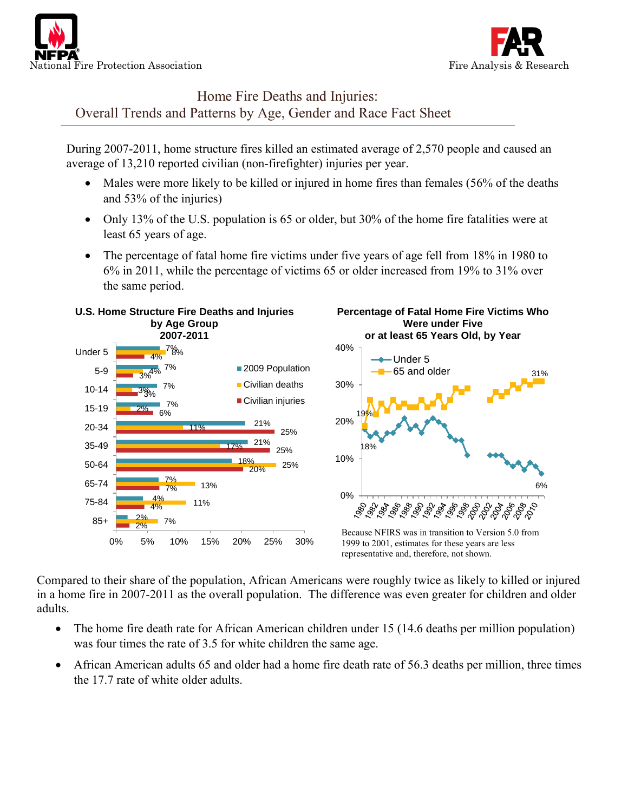



## Home Fire Deaths and Injuries: Overall Trends and Patterns by Age, Gender and Race Fact Sheet

During 2007-2011, home structure fires killed an estimated average of 2,570 people and caused an average of 13,210 reported civilian (non-firefighter) injuries per year.

- Males were more likely to be killed or injured in home fires than females (56% of the deaths and 53% of the injuries)
- Only 13% of the U.S. population is 65 or older, but 30% of the home fire fatalities were at least 65 years of age.
- The percentage of fatal home fire victims under five years of age fell from 18% in 1980 to 6% in 2011, while the percentage of victims 65 or older increased from 19% to 31% over the same period.



Compared to their share of the population, African Americans were roughly twice as likely to killed or injured in a home fire in 2007-2011 as the overall population. The difference was even greater for children and older adults.

- The home fire death rate for African American children under 15 (14.6 deaths per million population) was four times the rate of 3.5 for white children the same age.
- African American adults 65 and older had a home fire death rate of 56.3 deaths per million, three times the 17.7 rate of white older adults.